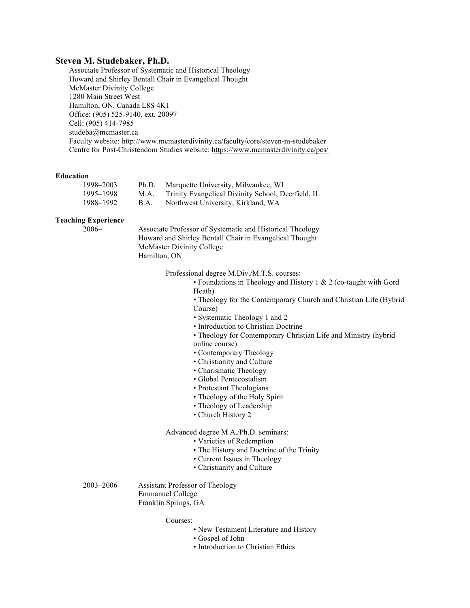### **Steven M. Studebaker, Ph.D.**

Associate Professor of Systematic and Historical Theology Howard and Shirley Bentall Chair in Evangelical Thought McMaster Divinity College 1280 Main Street West Hamilton, ON, Canada L8S 4K1 Office: (905) 525-9140, ext. 20097 Cell: (905) 414-7985 studeba@mcmaster.ca Faculty website: http://www.mcmasterdivinity.ca/faculty/core/steven-m-studebaker Centre for Post-Christendom Studies website: https://www.mcmasterdivinity.ca/pcs/

#### **Education**

| 1998–2003 | Ph.D.       | Marquette University, Milwaukee, WI                |
|-----------|-------------|----------------------------------------------------|
| 1995–1998 | M.A.        | Trinity Evangelical Divinity School, Deerfield, IL |
| 1988–1992 | <b>B.A.</b> | Northwest University, Kirkland, WA                 |

### **Teaching Experience**

2006– Associate Professor of Systematic and Historical Theology Howard and Shirley Bentall Chair in Evangelical Thought McMaster Divinity College Hamilton, ON

Professional degree M.Div./M.T.S. courses:

• Foundations in Theology and History 1 & 2 (co-taught with Gord Heath)

• Theology for the Contemporary Church and Christian Life (Hybrid Course)

- Systematic Theology 1 and 2
- Introduction to Christian Doctrine
- Theology for Contemporary Christian Life and Ministry (hybrid online course)
- Contemporary Theology
- Christianity and Culture
- Charismatic Theology
- Global Pentecostalism
- Protestant Theologians
- Theology of the Holy Spirit
- Theology of Leadership
- Church History 2

## Advanced degree M.A./Ph.D. seminars:

- Varieties of Redemption
- The History and Doctrine of the Trinity
- Current Issues in Theology
- Christianity and Culture

2003–2006 Assistant Professor of Theology Emmanuel College Franklin Springs, GA

#### Courses:

- New Testament Literature and History
- Gospel of John
- Introduction to Christian Ethics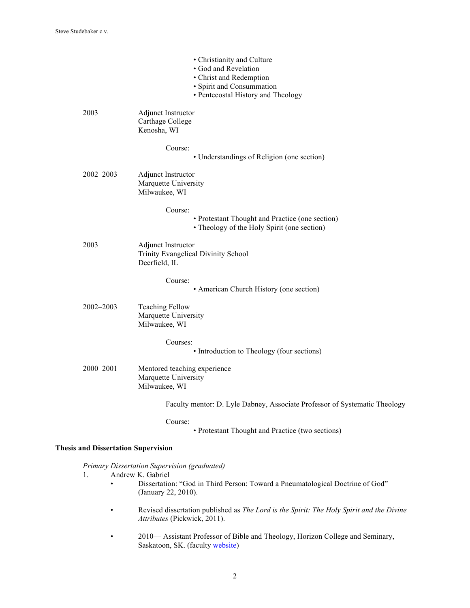|                                            | • Christianity and Culture<br>· God and Revelation<br>• Christ and Redemption<br>• Spirit and Consummation<br>• Pentecostal History and Theology |  |
|--------------------------------------------|--------------------------------------------------------------------------------------------------------------------------------------------------|--|
| 2003                                       | Adjunct Instructor<br>Carthage College<br>Kenosha, WI                                                                                            |  |
|                                            | Course:<br>• Understandings of Religion (one section)                                                                                            |  |
| 2002-2003                                  | Adjunct Instructor<br>Marquette University<br>Milwaukee, WI                                                                                      |  |
|                                            | Course:<br>• Protestant Thought and Practice (one section)<br>• Theology of the Holy Spirit (one section)                                        |  |
| 2003                                       | <b>Adjunct Instructor</b><br>Trinity Evangelical Divinity School<br>Deerfield, IL                                                                |  |
|                                            | Course:<br>• American Church History (one section)                                                                                               |  |
| $2002 - 2003$                              | <b>Teaching Fellow</b><br>Marquette University<br>Milwaukee, WI                                                                                  |  |
|                                            | Courses:<br>• Introduction to Theology (four sections)                                                                                           |  |
| 2000-2001                                  | Mentored teaching experience<br>Marquette University<br>Milwaukee, WI                                                                            |  |
|                                            | Faculty mentor: D. Lyle Dabney, Associate Professor of Systematic Theology                                                                       |  |
|                                            | Course:<br>• Protestant Thought and Practice (two sections)                                                                                      |  |
| <b>Thesis and Dissertation Supervision</b> |                                                                                                                                                  |  |
|                                            | Primary Dissertation Supervision (graduated)                                                                                                     |  |

- 1. Andrew K. Gabriel
	- Dissertation: "God in Third Person: Toward a Pneumatological Doctrine of God" (January 22, 2010).
	- Revised dissertation published as *The Lord is the Spirit: The Holy Spirit and the Divine Attributes* (Pickwick, 2011).
	- 2010— Assistant Professor of Bible and Theology, Horizon College and Seminary, Saskatoon, SK. (faculty website)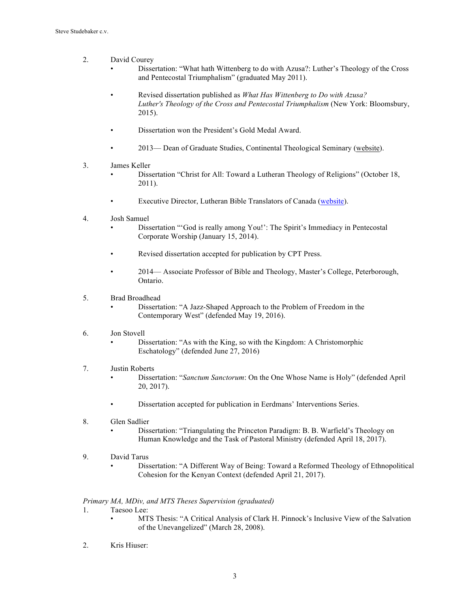- 2. David Courey
	- Dissertation: "What hath Wittenberg to do with Azusa?: Luther's Theology of the Cross and Pentecostal Triumphalism" (graduated May 2011).
	- Revised dissertation published as *What Has Wittenberg to Do with Azusa? Luther's Theology of the Cross and Pentecostal Triumphalism* (New York: Bloomsbury, 2015).
	- Dissertation won the President's Gold Medal Award.
	- 2013— Dean of Graduate Studies, Continental Theological Seminary (website).
- 3. James Keller
	- Dissertation "Christ for All: Toward a Lutheran Theology of Religions" (October 18, 2011).
	- Executive Director, Lutheran Bible Translators of Canada (website).
- 4. Josh Samuel
	- Dissertation "'God is really among You!': The Spirit's Immediacy in Pentecostal Corporate Worship (January 15, 2014).
	- Revised dissertation accepted for publication by CPT Press.
	- 2014— Associate Professor of Bible and Theology, Master's College, Peterborough, Ontario.
- 5. Brad Broadhead
	- Dissertation: "A Jazz-Shaped Approach to the Problem of Freedom in the Contemporary West" (defended May 19, 2016).
- 6. Jon Stovell
	- Dissertation: "As with the King, so with the Kingdom: A Christomorphic Eschatology" (defended June 27, 2016)
- 7. Justin Roberts
	- Dissertation: "*Sanctum Sanctorum*: On the One Whose Name is Holy" (defended April 20, 2017).
	- Dissertation accepted for publication in Eerdmans' Interventions Series.
- 8. Glen Sadlier
	- Dissertation: "Triangulating the Princeton Paradigm: B. B. Warfield's Theology on Human Knowledge and the Task of Pastoral Ministry (defended April 18, 2017).
- 9. David Tarus
	- Dissertation: "A Different Way of Being: Toward a Reformed Theology of Ethnopolitical Cohesion for the Kenyan Context (defended April 21, 2017).

#### *Primary MA, MDiv, and MTS Theses Supervision (graduated)*

- 1. Taesoo Lee:
	- MTS Thesis: "A Critical Analysis of Clark H. Pinnock's Inclusive View of the Salvation of the Unevangelized" (March 28, 2008).
- 2. Kris Hiuser: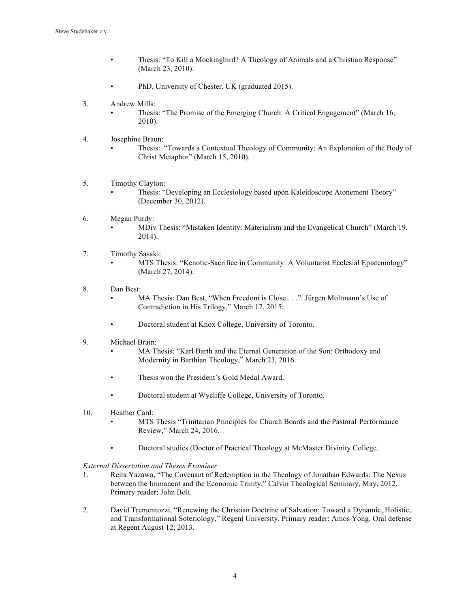- Thesis: "To Kill a Mockingbird? A Theology of Animals and a Christian Response" (March 23, 2010).
- PhD, University of Chester, UK (graduated 2015).
- 3. Andrew Mills:
	- Thesis: "The Promise of the Emerging Church: A Critical Engagement" (March 16, 2010).
- 4. Josephine Braun:
	- Thesis: "Towards a Contextual Theology of Community: An Exploration of the Body of Christ Metaphor" (March 15, 2010).
- 5. Timothy Clayton:
	- Thesis: "Developing an Ecclesiology based upon Kaleidoscope Atonement Theory" (December 30, 2012).
- 6. Megan Purdy: • MDiv Thesis: "Mistaken Identity: Materialism and the Evangelical Church" (March 19, 2014).
- 7. Timothy Sasaki:
	- MTS Thesis: "Kenotic-Sacrifice in Community: A Voluntarist Ecclesial Epistemology" (March 27, 2014).
- 8. Dan Best:
	- MA Thesis: Dan Best, "When Freedom is Close . . .": Jürgen Moltmann's Use of Contradiction in His Trilogy," March 17, 2015.
	- Doctoral student at Knox College, University of Toronto.
- 9. Michael Brain:
	- MA Thesis: "Karl Barth and the Eternal Generation of the Son: Orthodoxy and Modernity in Barthian Theology," March 23, 2016.
	- Thesis won the President's Gold Medal Award.
	- Doctoral student at Wycliffe College, University of Toronto.
- 10. Heather Card:
	- MTS Thesis "Trinitarian Principles for Church Boards and the Pastoral Performance Review," March 24, 2016.
	- Doctoral studies (Doctor of Practical Theology at McMaster Divinity College.

*External Dissertation and Theses Examiner*

- 1. Reita Yazawa, "The Covenant of Redemption in the Theology of Jonathan Edwards: The Nexus between the Immanent and the Economic Trinity," Calvin Theological Seminary, May, 2012. Primary reader: John Bolt.
- 2. David Trementozzi, "Renewing the Christian Doctrine of Salvation: Toward a Dynamic, Holistic, and Transformational Soteriology," Regent University. Primary reader: Amos Yong. Oral defense at Regent August 12, 2013.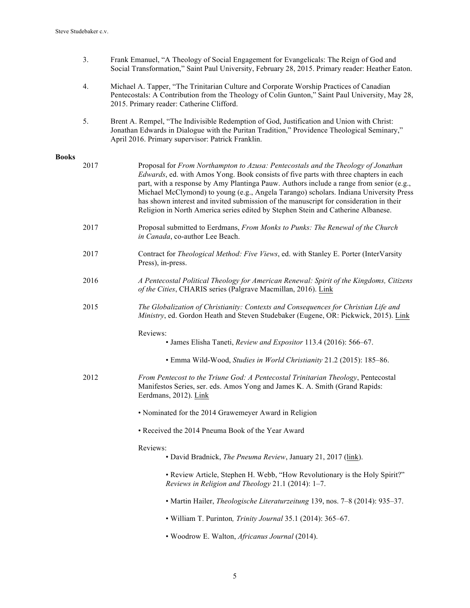- 3. Frank Emanuel, "A Theology of Social Engagement for Evangelicals: The Reign of God and Social Transformation," Saint Paul University, February 28, 2015. Primary reader: Heather Eaton.
- 4. Michael A. Tapper, "The Trinitarian Culture and Corporate Worship Practices of Canadian Pentecostals: A Contribution from the Theology of Colin Gunton," Saint Paul University, May 28, 2015. Primary reader: Catherine Clifford.
- 5. Brent A. Rempel, "The Indivisible Redemption of God, Justification and Union with Christ: Jonathan Edwards in Dialogue with the Puritan Tradition," Providence Theological Seminary," April 2016. Primary supervisor: Patrick Franklin.

## **Books**

| 2017 | Proposal for From Northampton to Azusa: Pentecostals and the Theology of Jonathan<br>Edwards, ed. with Amos Yong. Book consists of five parts with three chapters in each<br>part, with a response by Amy Plantinga Pauw. Authors include a range from senior (e.g.,<br>Michael McClymond) to young (e.g., Angela Tarango) scholars. Indiana University Press<br>has shown interest and invited submission of the manuscript for consideration in their<br>Religion in North America series edited by Stephen Stein and Catherine Albanese. |
|------|---------------------------------------------------------------------------------------------------------------------------------------------------------------------------------------------------------------------------------------------------------------------------------------------------------------------------------------------------------------------------------------------------------------------------------------------------------------------------------------------------------------------------------------------|
| 2017 | Proposal submitted to Eerdmans, From Monks to Punks: The Renewal of the Church<br>in Canada, co-author Lee Beach.                                                                                                                                                                                                                                                                                                                                                                                                                           |
| 2017 | Contract for Theological Method: Five Views, ed. with Stanley E. Porter (InterVarsity<br>Press), in-press.                                                                                                                                                                                                                                                                                                                                                                                                                                  |
| 2016 | A Pentecostal Political Theology for American Renewal: Spirit of the Kingdoms, Citizens<br>of the Cities, CHARIS series (Palgrave Macmillan, 2016). Link                                                                                                                                                                                                                                                                                                                                                                                    |
| 2015 | The Globalization of Christianity: Contexts and Consequences for Christian Life and<br>Ministry, ed. Gordon Heath and Steven Studebaker (Eugene, OR: Pickwick, 2015). Link                                                                                                                                                                                                                                                                                                                                                                  |
|      | Reviews:<br>• James Elisha Taneti, Review and Expositor 113.4 (2016): 566-67.                                                                                                                                                                                                                                                                                                                                                                                                                                                               |
|      | • Emma Wild-Wood, Studies in World Christianity 21.2 (2015): 185-86.                                                                                                                                                                                                                                                                                                                                                                                                                                                                        |
| 2012 | From Pentecost to the Triune God: A Pentecostal Trinitarian Theology, Pentecostal<br>Manifestos Series, ser. eds. Amos Yong and James K. A. Smith (Grand Rapids:<br>Eerdmans, 2012). Link                                                                                                                                                                                                                                                                                                                                                   |
|      | • Nominated for the 2014 Grawemeyer Award in Religion                                                                                                                                                                                                                                                                                                                                                                                                                                                                                       |
|      | • Received the 2014 Pneuma Book of the Year Award                                                                                                                                                                                                                                                                                                                                                                                                                                                                                           |
|      | Reviews:<br>• David Bradnick, The Pneuma Review, January 21, 2017 (link).                                                                                                                                                                                                                                                                                                                                                                                                                                                                   |
|      | • Review Article, Stephen H. Webb, "How Revolutionary is the Holy Spirit?"<br>Reviews in Religion and Theology 21.1 (2014): 1-7.                                                                                                                                                                                                                                                                                                                                                                                                            |
|      | • Martin Hailer, <i>Theologische Literaturzeitung</i> 139, nos. 7–8 (2014): 935–37.                                                                                                                                                                                                                                                                                                                                                                                                                                                         |
|      | • William T. Purinton, Trinity Journal 35.1 (2014): 365-67.                                                                                                                                                                                                                                                                                                                                                                                                                                                                                 |
|      | • Woodrow E. Walton, Africanus Journal (2014).                                                                                                                                                                                                                                                                                                                                                                                                                                                                                              |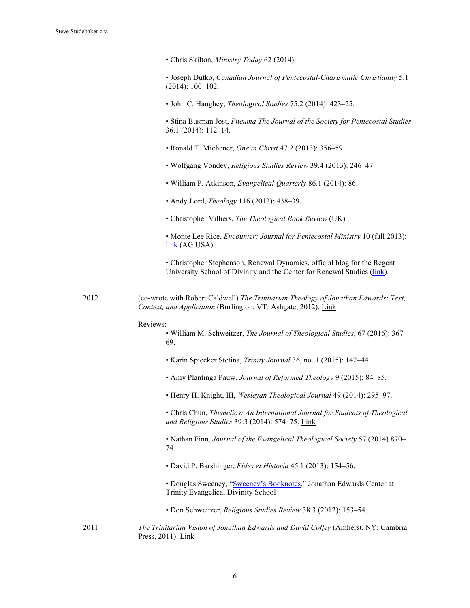• Chris Skilton, *Ministry Today* 62 (2014).

• Joseph Dutko, *Canadian Journal of Pentecostal-Charismatic Christianity* 5.1 (2014): 100–102.

• John C. Haughey, *Theological Studies* 75.2 (2014): 423–25.

• Stina Busman Jost, *Pneuma The Journal of the Society for Pentecostal Studies* 36.1 (2014): 112–14.

- Ronald T. Michener, *One in Christ* 47.2 (2013): 356–59.
- Wolfgang Vondey, *Religious Studies Review* 39.4 (2013): 246–47.
- William P. Atkinson, *Evangelical Quarterly* 86.1 (2014): 86.
- Andy Lord, *Theology* 116 (2013): 438–39.
- Christopher Villiers, *The Theological Book Review* (UK)

• Monte Lee Rice, *Encounter: Journal for Pentecostal Ministry* 10 (fall 2013): link (AG USA)

• Christopher Stephenson, Renewal Dynamics, official blog for the Regent University School of Divinity and the Center for Renewal Studies (link).

2012 (co-wrote with Robert Caldwell) *The Trinitarian Theology of Jonathan Edwards: Text, Context, and Application* (Burlington, VT: Ashgate, 2012). Link

#### Reviews:

- William M. Schweitzer, *The Journal of Theological Studies*, 67 (2016): 367– 69.
- Karin Spiecker Stetina, *Trinity Journal* 36, no. 1 (2015): 142–44.
- Amy Plantinga Pauw, *Journal of Reformed Theology* 9 (2015): 84–85.
- Henry H. Knight, III, *Wesleyan Theological Journal* 49 (2014): 295–97.

• Chris Chun, *Themelios: An International Journal for Students of Theological and Religious Studies* 39:3 (2014): 574–75. Link

• Nathan Finn, *Journal of the Evangelical Theological Society* 57 (2014) 870– 74.

- David P. Barshinger, *Fides et Historia* 45.1 (2013): 154–56.
- Douglas Sweeney, "Sweeney's Booknotes," Jonathan Edwards Center at Trinity Evangelical Divinity School
- Don Schweitzer, *Religious Studies Review* 38.3 (2012): 153–54.
- 2011 *The Trinitarian Vision of Jonathan Edwards and David Coffey* (Amherst, NY: Cambria Press, 2011). Link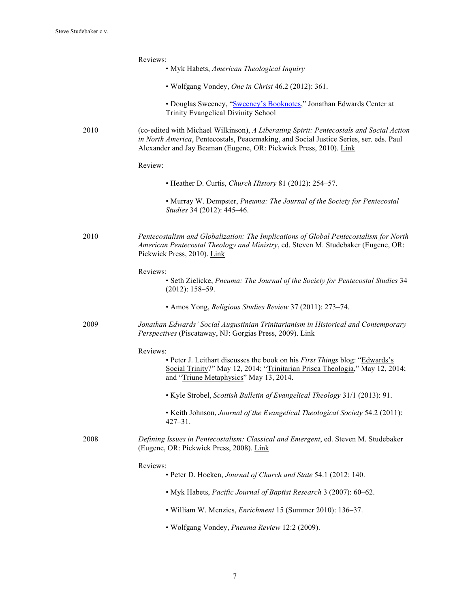|      | Reviews:<br>• Myk Habets, American Theological Inquiry                                                                                                                                                                                                 |
|------|--------------------------------------------------------------------------------------------------------------------------------------------------------------------------------------------------------------------------------------------------------|
|      | • Wolfgang Vondey, One in Christ 46.2 (2012): 361.                                                                                                                                                                                                     |
|      | • Douglas Sweeney, "Sweeney's Booknotes," Jonathan Edwards Center at<br>Trinity Evangelical Divinity School                                                                                                                                            |
| 2010 | (co-edited with Michael Wilkinson), A Liberating Spirit: Pentecostals and Social Action<br>in North America, Pentecostals, Peacemaking, and Social Justice Series, ser. eds. Paul<br>Alexander and Jay Beaman (Eugene, OR: Pickwick Press, 2010). Link |
|      | Review:                                                                                                                                                                                                                                                |
|      | • Heather D. Curtis, Church History 81 (2012): 254–57.                                                                                                                                                                                                 |
|      | • Murray W. Dempster, Pneuma: The Journal of the Society for Pentecostal<br>Studies 34 (2012): 445-46.                                                                                                                                                 |
| 2010 | Pentecostalism and Globalization: The Implications of Global Pentecostalism for North<br>American Pentecostal Theology and Ministry, ed. Steven M. Studebaker (Eugene, OR:<br>Pickwick Press, 2010). Link                                              |
|      | Reviews:<br>• Seth Zielicke, Pneuma: The Journal of the Society for Pentecostal Studies 34<br>$(2012): 158 - 59.$                                                                                                                                      |
|      | • Amos Yong, Religious Studies Review 37 (2011): 273-74.                                                                                                                                                                                               |
| 2009 | Jonathan Edwards' Social Augustinian Trinitarianism in Historical and Contemporary<br>Perspectives (Piscataway, NJ: Gorgias Press, 2009). Link                                                                                                         |
|      | Reviews:<br>• Peter J. Leithart discusses the book on his First Things blog: "Edwards's<br>Social Trinity?" May 12, 2014; "Trinitarian Prisca Theologia," May 12, 2014;<br>and "Triune Metaphysics" May 13, 2014.                                      |
|      | • Kyle Strobel, Scottish Bulletin of Evangelical Theology 31/1 (2013): 91.                                                                                                                                                                             |
|      | • Keith Johnson, Journal of the Evangelical Theological Society 54.2 (2011):<br>$427 - 31$ .                                                                                                                                                           |
| 2008 | Defining Issues in Pentecostalism: Classical and Emergent, ed. Steven M. Studebaker<br>(Eugene, OR: Pickwick Press, 2008). Link                                                                                                                        |
|      | Reviews:<br>• Peter D. Hocken, Journal of Church and State 54.1 (2012: 140.                                                                                                                                                                            |
|      | • Myk Habets, Pacific Journal of Baptist Research 3 (2007): 60-62.                                                                                                                                                                                     |
|      | • William W. Menzies, <i>Enrichment</i> 15 (Summer 2010): 136-37.                                                                                                                                                                                      |
|      | · Wolfgang Vondey, Pneuma Review 12:2 (2009).                                                                                                                                                                                                          |
|      |                                                                                                                                                                                                                                                        |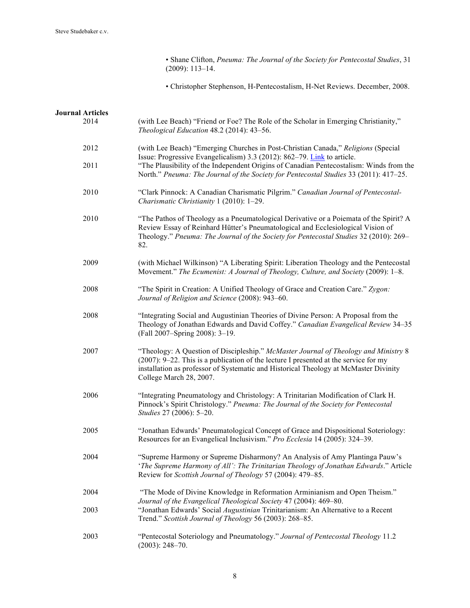• Shane Clifton, *Pneuma: The Journal of the Society for Pentecostal Studies*, 31 (2009): 113–14.

• Christopher Stephenson, H-Pentecostalism, H-Net Reviews. December, 2008.

| <b>Journal Articles</b> |                                                                                                                                                                                                                                                                                                   |
|-------------------------|---------------------------------------------------------------------------------------------------------------------------------------------------------------------------------------------------------------------------------------------------------------------------------------------------|
| 2014                    | (with Lee Beach) "Friend or Foe? The Role of the Scholar in Emerging Christianity,"<br>Theological Education 48.2 (2014): 43-56.                                                                                                                                                                  |
| 2012                    | (with Lee Beach) "Emerging Churches in Post-Christian Canada," Religions (Special<br>Issue: Progressive Evangelicalism) 3.3 (2012): 862–79. Link to article.                                                                                                                                      |
| 2011                    | "The Plausibility of the Independent Origins of Canadian Pentecostalism: Winds from the<br>North." Pneuma: The Journal of the Society for Pentecostal Studies 33 (2011): 417-25.                                                                                                                  |
| 2010                    | "Clark Pinnock: A Canadian Charismatic Pilgrim." Canadian Journal of Pentecostal-<br>Charismatic Christianity 1 (2010): 1-29.                                                                                                                                                                     |
| 2010                    | "The Pathos of Theology as a Pneumatological Derivative or a Poiemata of the Spirit? A<br>Review Essay of Reinhard Hütter's Pneumatological and Ecclesiological Vision of<br>Theology." Pneuma: The Journal of the Society for Pentecostal Studies 32 (2010): 269-<br>82.                         |
| 2009                    | (with Michael Wilkinson) "A Liberating Spirit: Liberation Theology and the Pentecostal<br>Movement." The Ecumenist: A Journal of Theology, Culture, and Society (2009): 1-8.                                                                                                                      |
| 2008                    | "The Spirit in Creation: A Unified Theology of Grace and Creation Care." Zygon:<br>Journal of Religion and Science (2008): 943-60.                                                                                                                                                                |
| 2008                    | "Integrating Social and Augustinian Theories of Divine Person: A Proposal from the<br>Theology of Jonathan Edwards and David Coffey." Canadian Evangelical Review 34-35<br>(Fall 2007-Spring 2008): 3-19.                                                                                         |
| 2007                    | "Theology: A Question of Discipleship." McMaster Journal of Theology and Ministry 8<br>$(2007)$ : 9–22. This is a publication of the lecture I presented at the service for my<br>installation as professor of Systematic and Historical Theology at McMaster Divinity<br>College March 28, 2007. |
| 2006                    | "Integrating Pneumatology and Christology: A Trinitarian Modification of Clark H.<br>Pinnock's Spirit Christology." Pneuma: The Journal of the Society for Pentecostal<br>Studies 27 (2006): 5-20.                                                                                                |
| 2005                    | "Jonathan Edwards' Pneumatological Concept of Grace and Dispositional Soteriology:<br>Resources for an Evangelical Inclusivism." Pro Ecclesia 14 (2005): 324-39.                                                                                                                                  |
| 2004                    | "Supreme Harmony or Supreme Disharmony? An Analysis of Amy Plantinga Pauw's<br>'The Supreme Harmony of All': The Trinitarian Theology of Jonathan Edwards." Article<br>Review for Scottish Journal of Theology 57 (2004): 479-85.                                                                 |
| 2004                    | "The Mode of Divine Knowledge in Reformation Arminianism and Open Theism."                                                                                                                                                                                                                        |
| 2003                    | Journal of the Evangelical Theological Society 47 (2004): 469-80.<br>"Jonathan Edwards' Social Augustinian Trinitarianism: An Alternative to a Recent<br>Trend." Scottish Journal of Theology 56 (2003): 268-85.                                                                                  |
| 2003                    | "Pentecostal Soteriology and Pneumatology." Journal of Pentecostal Theology 11.2<br>$(2003): 248 - 70.$                                                                                                                                                                                           |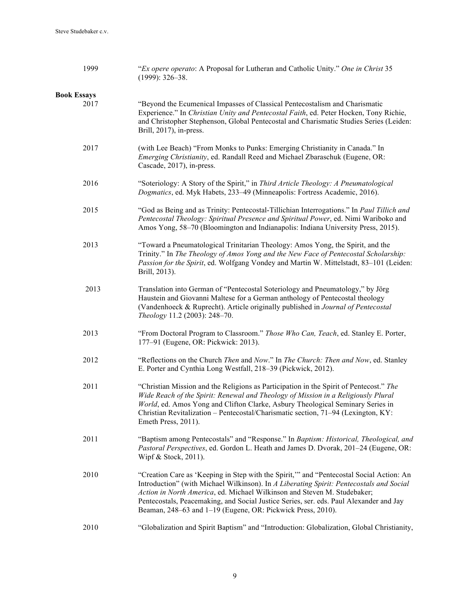| 1999                       | "Ex opere operato: A Proposal for Lutheran and Catholic Unity." One in Christ 35<br>$(1999): 326 - 38.$                                                                                                                                                                                                                                                                                                                 |
|----------------------------|-------------------------------------------------------------------------------------------------------------------------------------------------------------------------------------------------------------------------------------------------------------------------------------------------------------------------------------------------------------------------------------------------------------------------|
| <b>Book Essays</b><br>2017 | "Beyond the Ecumenical Impasses of Classical Pentecostalism and Charismatic<br>Experience." In Christian Unity and Pentecostal Faith, ed. Peter Hocken, Tony Richie,<br>and Christopher Stephenson, Global Pentecostal and Charismatic Studies Series (Leiden:<br>Brill, 2017), in-press.                                                                                                                               |
| 2017                       | (with Lee Beach) "From Monks to Punks: Emerging Christianity in Canada." In<br>Emerging Christianity, ed. Randall Reed and Michael Zbaraschuk (Eugene, OR:<br>Cascade, 2017), in-press.                                                                                                                                                                                                                                 |
| 2016                       | "Soteriology: A Story of the Spirit," in Third Article Theology: A Pneumatological<br>Dogmatics, ed. Myk Habets, 233-49 (Minneapolis: Fortress Academic, 2016).                                                                                                                                                                                                                                                         |
| 2015                       | "God as Being and as Trinity: Pentecostal-Tillichian Interrogations." In Paul Tillich and<br>Pentecostal Theology: Spiritual Presence and Spiritual Power, ed. Nimi Wariboko and<br>Amos Yong, 58-70 (Bloomington and Indianapolis: Indiana University Press, 2015).                                                                                                                                                    |
| 2013                       | "Toward a Pneumatological Trinitarian Theology: Amos Yong, the Spirit, and the<br>Trinity." In The Theology of Amos Yong and the New Face of Pentecostal Scholarship:<br>Passion for the Spirit, ed. Wolfgang Vondey and Martin W. Mittelstadt, 83-101 (Leiden:<br>Brill, 2013).                                                                                                                                        |
| 2013                       | Translation into German of "Pentecostal Soteriology and Pneumatology," by Jörg<br>Haustein and Giovanni Maltese for a German anthology of Pentecostal theology<br>(Vandenhoeck & Ruprecht). Article originally published in Journal of Pentecostal<br>Theology 11.2 (2003): 248-70.                                                                                                                                     |
| 2013                       | "From Doctoral Program to Classroom." Those Who Can, Teach, ed. Stanley E. Porter,<br>177-91 (Eugene, OR: Pickwick: 2013).                                                                                                                                                                                                                                                                                              |
| 2012                       | "Reflections on the Church Then and Now." In The Church: Then and Now, ed. Stanley<br>E. Porter and Cynthia Long Westfall, 218-39 (Pickwick, 2012).                                                                                                                                                                                                                                                                     |
| 2011                       | "Christian Mission and the Religions as Participation in the Spirit of Pentecost." The<br>Wide Reach of the Spirit: Renewal and Theology of Mission in a Religiously Plural<br>World, ed. Amos Yong and Clifton Clarke, Asbury Theological Seminary Series in<br>Christian Revitalization - Pentecostal/Charismatic section, 71-94 (Lexington, KY:<br>Emeth Press, 2011).                                               |
| 2011                       | "Baptism among Pentecostals" and "Response." In Baptism: Historical, Theological, and<br>Pastoral Perspectives, ed. Gordon L. Heath and James D. Dvorak, 201-24 (Eugene, OR:<br>Wipf & Stock, 2011).                                                                                                                                                                                                                    |
| 2010                       | "Creation Care as 'Keeping in Step with the Spirit," and "Pentecostal Social Action: An<br>Introduction" (with Michael Wilkinson). In A Liberating Spirit: Pentecostals and Social<br>Action in North America, ed. Michael Wilkinson and Steven M. Studebaker;<br>Pentecostals, Peacemaking, and Social Justice Series, ser. eds. Paul Alexander and Jay<br>Beaman, 248–63 and 1–19 (Eugene, OR: Pickwick Press, 2010). |
| 2010                       | "Globalization and Spirit Baptism" and "Introduction: Globalization, Global Christianity,                                                                                                                                                                                                                                                                                                                               |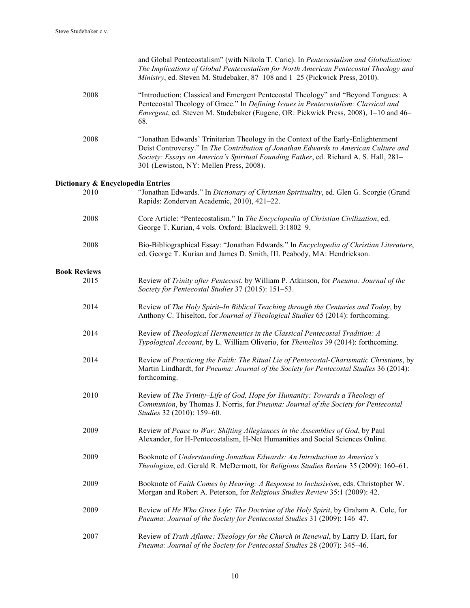|                                   | and Global Pentecostalism" (with Nikola T. Caric). In Pentecostalism and Globalization:<br>The Implications of Global Pentecostalism for North American Pentecostal Theology and<br>Ministry, ed. Steven M. Studebaker, 87-108 and 1-25 (Pickwick Press, 2010).                                             |
|-----------------------------------|-------------------------------------------------------------------------------------------------------------------------------------------------------------------------------------------------------------------------------------------------------------------------------------------------------------|
| 2008                              | "Introduction: Classical and Emergent Pentecostal Theology" and "Beyond Tongues: A<br>Pentecostal Theology of Grace." In Defining Issues in Pentecostalism: Classical and<br>Emergent, ed. Steven M. Studebaker (Eugene, OR: Pickwick Press, 2008), 1-10 and 46-<br>68.                                     |
| 2008                              | "Jonathan Edwards' Trinitarian Theology in the Context of the Early-Enlightenment<br>Deist Controversy." In The Contribution of Jonathan Edwards to American Culture and<br>Society: Essays on America's Spiritual Founding Father, ed. Richard A. S. Hall, 281-<br>301 (Lewiston, NY: Mellen Press, 2008). |
| Dictionary & Encyclopedia Entries |                                                                                                                                                                                                                                                                                                             |
| 2010                              | "Jonathan Edwards." In Dictionary of Christian Spirituality, ed. Glen G. Scorgie (Grand<br>Rapids: Zondervan Academic, 2010), 421-22.                                                                                                                                                                       |
| 2008                              | Core Article: "Pentecostalism." In The Encyclopedia of Christian Civilization, ed.<br>George T. Kurian, 4 vols. Oxford: Blackwell. 3:1802-9.                                                                                                                                                                |
| 2008                              | Bio-Bibliographical Essay: "Jonathan Edwards." In Encyclopedia of Christian Literature,<br>ed. George T. Kurian and James D. Smith, III. Peabody, MA: Hendrickson.                                                                                                                                          |
| <b>Book Reviews</b>               |                                                                                                                                                                                                                                                                                                             |
| 2015                              | Review of Trinity after Pentecost, by William P. Atkinson, for Pneuma: Journal of the<br>Society for Pentecostal Studies 37 (2015): 151-53.                                                                                                                                                                 |
| 2014                              | Review of The Holy Spirit-In Biblical Teaching through the Centuries and Today, by<br>Anthony C. Thiselton, for Journal of Theological Studies 65 (2014): forthcoming.                                                                                                                                      |
| 2014                              | Review of Theological Hermeneutics in the Classical Pentecostal Tradition: A<br>Typological Account, by L. William Oliverio, for Themelios 39 (2014): forthcoming.                                                                                                                                          |
| 2014                              | Review of Practicing the Faith: The Ritual Lie of Pentecostal-Charismatic Christians, by<br>Martin Lindhardt, for Pneuma: Journal of the Society for Pentecostal Studies 36 (2014):<br>forthcoming.                                                                                                         |
| 2010                              | Review of The Trinity-Life of God, Hope for Humanity: Towards a Theology of<br>Communion, by Thomas J. Norris, for Pneuma: Journal of the Society for Pentecostal<br>Studies 32 (2010): 159-60.                                                                                                             |
| 2009                              | Review of Peace to War: Shifting Allegiances in the Assemblies of God, by Paul<br>Alexander, for H-Pentecostalism, H-Net Humanities and Social Sciences Online.                                                                                                                                             |
| 2009                              | Booknote of Understanding Jonathan Edwards: An Introduction to America's<br>Theologian, ed. Gerald R. McDermott, for Religious Studies Review 35 (2009): 160-61.                                                                                                                                            |
| 2009                              | Booknote of Faith Comes by Hearing: A Response to Inclusivism, eds. Christopher W.<br>Morgan and Robert A. Peterson, for Religious Studies Review 35:1 (2009): 42.                                                                                                                                          |
| 2009                              | Review of He Who Gives Life: The Doctrine of the Holy Spirit, by Graham A. Cole, for<br>Pneuma: Journal of the Society for Pentecostal Studies 31 (2009): 146-47.                                                                                                                                           |
| 2007                              | Review of Truth Aflame: Theology for the Church in Renewal, by Larry D. Hart, for<br>Pneuma: Journal of the Society for Pentecostal Studies 28 (2007): 345-46.                                                                                                                                              |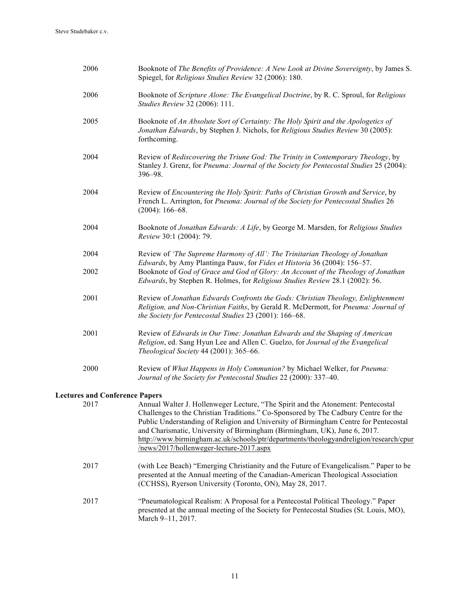| 2006                                  | Booknote of The Benefits of Providence: A New Look at Divine Sovereignty, by James S.<br>Spiegel, for Religious Studies Review 32 (2006): 180.                                                                                                                                                                                                                                                                                                                                    |
|---------------------------------------|-----------------------------------------------------------------------------------------------------------------------------------------------------------------------------------------------------------------------------------------------------------------------------------------------------------------------------------------------------------------------------------------------------------------------------------------------------------------------------------|
| 2006                                  | Booknote of Scripture Alone: The Evangelical Doctrine, by R. C. Sproul, for Religious<br>Studies Review 32 (2006): 111.                                                                                                                                                                                                                                                                                                                                                           |
| 2005                                  | Booknote of An Absolute Sort of Certainty: The Holy Spirit and the Apologetics of<br>Jonathan Edwards, by Stephen J. Nichols, for Religious Studies Review 30 (2005):<br>forthcoming.                                                                                                                                                                                                                                                                                             |
| 2004                                  | Review of Rediscovering the Triune God: The Trinity in Contemporary Theology, by<br>Stanley J. Grenz, for Pneuma: Journal of the Society for Pentecostal Studies 25 (2004):<br>396-98.                                                                                                                                                                                                                                                                                            |
| 2004                                  | Review of Encountering the Holy Spirit: Paths of Christian Growth and Service, by<br>French L. Arrington, for Pneuma: Journal of the Society for Pentecostal Studies 26<br>$(2004): 166 - 68.$                                                                                                                                                                                                                                                                                    |
| 2004                                  | Booknote of Jonathan Edwards: A Life, by George M. Marsden, for Religious Studies<br>Review 30:1 (2004): 79.                                                                                                                                                                                                                                                                                                                                                                      |
| 2004                                  | Review of 'The Supreme Harmony of All': The Trinitarian Theology of Jonathan                                                                                                                                                                                                                                                                                                                                                                                                      |
| 2002                                  | Edwards, by Amy Plantinga Pauw, for Fides et Historia 36 (2004): 156-57.<br>Booknote of God of Grace and God of Glory: An Account of the Theology of Jonathan<br>Edwards, by Stephen R. Holmes, for Religious Studies Review 28.1 (2002): 56.                                                                                                                                                                                                                                     |
| 2001                                  | Review of Jonathan Edwards Confronts the Gods: Christian Theology, Enlightenment<br>Religion, and Non-Christian Faiths, by Gerald R. McDermott, for Pneuma: Journal of<br>the Society for Pentecostal Studies 23 (2001): 166-68.                                                                                                                                                                                                                                                  |
| 2001                                  | Review of Edwards in Our Time: Jonathan Edwards and the Shaping of American<br>Religion, ed. Sang Hyun Lee and Allen C. Guelzo, for Journal of the Evangelical<br>Theological Society 44 (2001): 365-66.                                                                                                                                                                                                                                                                          |
| 2000                                  | Review of What Happens in Holy Communion? by Michael Welker, for Pneuma:<br>Journal of the Society for Pentecostal Studies 22 (2000): 337-40.                                                                                                                                                                                                                                                                                                                                     |
| <b>Lectures and Conference Papers</b> |                                                                                                                                                                                                                                                                                                                                                                                                                                                                                   |
| 2017                                  | Annual Walter J. Hollenweger Lecture, "The Spirit and the Atonement: Pentecostal<br>Challenges to the Christian Traditions." Co-Sponsored by The Cadbury Centre for the<br>Public Understanding of Religion and University of Birmingham Centre for Pentecostal<br>and Charismatic, University of Birmingham (Birmingham, UK), June 6, 2017.<br>http://www.birmingham.ac.uk/schools/ptr/departments/theologyandreligion/research/cpur<br>/news/2017/hollenweger-lecture-2017.aspx |
| 2017                                  | (with Lee Beach) "Emerging Christianity and the Future of Evangelicalism." Paper to be<br>presented at the Annual meeting of the Canadian-American Theological Association<br>(CCHSS), Ryerson University (Toronto, ON), May 28, 2017.                                                                                                                                                                                                                                            |
| 2017                                  | "Pneumatological Realism: A Proposal for a Pentecostal Political Theology." Paper<br>presented at the annual meeting of the Society for Pentecostal Studies (St. Louis, MO),<br>March 9-11, 2017.                                                                                                                                                                                                                                                                                 |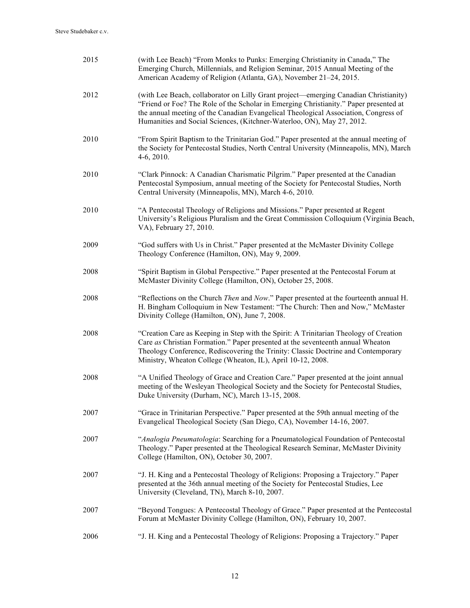| 2015 | (with Lee Beach) "From Monks to Punks: Emerging Christianity in Canada," The<br>Emerging Church, Millennials, and Religion Seminar, 2015 Annual Meeting of the<br>American Academy of Religion (Atlanta, GA), November 21-24, 2015.                                                                                                            |
|------|------------------------------------------------------------------------------------------------------------------------------------------------------------------------------------------------------------------------------------------------------------------------------------------------------------------------------------------------|
| 2012 | (with Lee Beach, collaborator on Lilly Grant project—emerging Canadian Christianity)<br>"Friend or Foe? The Role of the Scholar in Emerging Christianity." Paper presented at<br>the annual meeting of the Canadian Evangelical Theological Association, Congress of<br>Humanities and Social Sciences, (Kitchner-Waterloo, ON), May 27, 2012. |
| 2010 | "From Spirit Baptism to the Trinitarian God." Paper presented at the annual meeting of<br>the Society for Pentecostal Studies, North Central University (Minneapolis, MN), March<br>$4-6, 2010.$                                                                                                                                               |
| 2010 | "Clark Pinnock: A Canadian Charismatic Pilgrim." Paper presented at the Canadian<br>Pentecostal Symposium, annual meeting of the Society for Pentecostal Studies, North<br>Central University (Minneapolis, MN), March 4-6, 2010.                                                                                                              |
| 2010 | "A Pentecostal Theology of Religions and Missions." Paper presented at Regent<br>University's Religious Pluralism and the Great Commission Colloquium (Virginia Beach,<br>VA), February 27, 2010.                                                                                                                                              |
| 2009 | "God suffers with Us in Christ." Paper presented at the McMaster Divinity College<br>Theology Conference (Hamilton, ON), May 9, 2009.                                                                                                                                                                                                          |
| 2008 | "Spirit Baptism in Global Perspective." Paper presented at the Pentecostal Forum at<br>McMaster Divinity College (Hamilton, ON), October 25, 2008.                                                                                                                                                                                             |
| 2008 | "Reflections on the Church Then and Now." Paper presented at the fourteenth annual H.<br>H. Bingham Colloquium in New Testament: "The Church: Then and Now," McMaster<br>Divinity College (Hamilton, ON), June 7, 2008.                                                                                                                        |
| 2008 | "Creation Care as Keeping in Step with the Spirit: A Trinitarian Theology of Creation<br>Care as Christian Formation." Paper presented at the seventeenth annual Wheaton<br>Theology Conference, Rediscovering the Trinity: Classic Doctrine and Contemporary<br>Ministry, Wheaton College (Wheaton, IL), April 10-12, 2008.                   |
| 2008 | "A Unified Theology of Grace and Creation Care." Paper presented at the joint annual<br>meeting of the Wesleyan Theological Society and the Society for Pentecostal Studies,<br>Duke University (Durham, NC), March 13-15, 2008.                                                                                                               |
| 2007 | "Grace in Trinitarian Perspective." Paper presented at the 59th annual meeting of the<br>Evangelical Theological Society (San Diego, CA), November 14-16, 2007.                                                                                                                                                                                |
| 2007 | "Analogia Pneumatologia: Searching for a Pneumatological Foundation of Pentecostal<br>Theology." Paper presented at the Theological Research Seminar, McMaster Divinity<br>College (Hamilton, ON), October 30, 2007.                                                                                                                           |
| 2007 | "J. H. King and a Pentecostal Theology of Religions: Proposing a Trajectory." Paper<br>presented at the 36th annual meeting of the Society for Pentecostal Studies, Lee<br>University (Cleveland, TN), March 8-10, 2007.                                                                                                                       |
| 2007 | "Beyond Tongues: A Pentecostal Theology of Grace." Paper presented at the Pentecostal<br>Forum at McMaster Divinity College (Hamilton, ON), February 10, 2007.                                                                                                                                                                                 |
| 2006 | "J. H. King and a Pentecostal Theology of Religions: Proposing a Trajectory." Paper                                                                                                                                                                                                                                                            |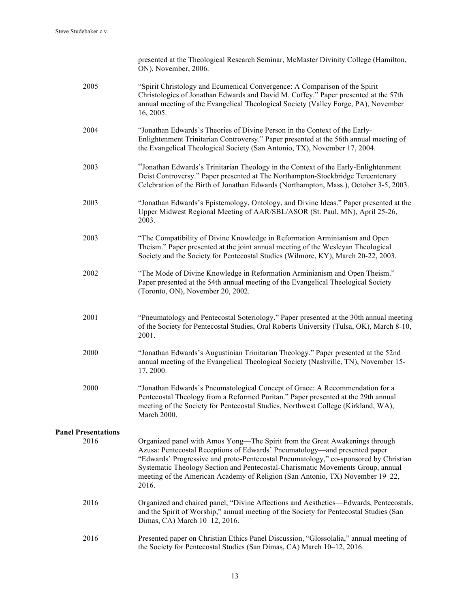|                            | presented at the Theological Research Seminar, McMaster Divinity College (Hamilton,<br>ON), November, 2006.                                                                                                                                                                                                                                                                                                                    |
|----------------------------|--------------------------------------------------------------------------------------------------------------------------------------------------------------------------------------------------------------------------------------------------------------------------------------------------------------------------------------------------------------------------------------------------------------------------------|
| 2005                       | "Spirit Christology and Ecumenical Convergence: A Comparison of the Spirit<br>Christologies of Jonathan Edwards and David M. Coffey." Paper presented at the 57th<br>annual meeting of the Evangelical Theological Society (Valley Forge, PA), November<br>16, 2005.                                                                                                                                                           |
| 2004                       | "Jonathan Edwards's Theories of Divine Person in the Context of the Early-<br>Enlightenment Trinitarian Controversy." Paper presented at the 56th annual meeting of<br>the Evangelical Theological Society (San Antonio, TX), November 17, 2004.                                                                                                                                                                               |
| 2003                       | "Jonathan Edwards's Trinitarian Theology in the Context of the Early-Enlightenment<br>Deist Controversy." Paper presented at The Northampton-Stockbridge Tercentenary<br>Celebration of the Birth of Jonathan Edwards (Northampton, Mass.), October 3-5, 2003.                                                                                                                                                                 |
| 2003                       | "Jonathan Edwards's Epistemology, Ontology, and Divine Ideas." Paper presented at the<br>Upper Midwest Regional Meeting of AAR/SBL/ASOR (St. Paul, MN), April 25-26,<br>2003.                                                                                                                                                                                                                                                  |
| 2003                       | "The Compatibility of Divine Knowledge in Reformation Arminianism and Open<br>Theism." Paper presented at the joint annual meeting of the Wesleyan Theological<br>Society and the Society for Pentecostal Studies (Wilmore, KY), March 20-22, 2003.                                                                                                                                                                            |
| 2002                       | "The Mode of Divine Knowledge in Reformation Arminianism and Open Theism."<br>Paper presented at the 54th annual meeting of the Evangelical Theological Society<br>(Toronto, ON), November 20, 2002.                                                                                                                                                                                                                           |
| 2001                       | "Pneumatology and Pentecostal Soteriology." Paper presented at the 30th annual meeting<br>of the Society for Pentecostal Studies, Oral Roberts University (Tulsa, OK), March 8-10,<br>2001.                                                                                                                                                                                                                                    |
| 2000                       | "Jonathan Edwards's Augustinian Trinitarian Theology." Paper presented at the 52nd<br>annual meeting of the Evangelical Theological Society (Nashville, TN), November 15-<br>17, 2000.                                                                                                                                                                                                                                         |
| 2000                       | "Jonathan Edwards's Pneumatological Concept of Grace: A Recommendation for a<br>Pentecostal Theology from a Reformed Puritan." Paper presented at the 29th annual<br>meeting of the Society for Pentecostal Studies, Northwest College (Kirkland, WA),<br>March 2000.                                                                                                                                                          |
| <b>Panel Presentations</b> |                                                                                                                                                                                                                                                                                                                                                                                                                                |
| 2016                       | Organized panel with Amos Yong—The Spirit from the Great Awakenings through<br>Azusa: Pentecostal Receptions of Edwards' Pneumatology—and presented paper<br>"Edwards' Progressive and proto-Pentecostal Pneumatology," co-sponsored by Christian<br>Systematic Theology Section and Pentecostal-Charismatic Movements Group, annual<br>meeting of the American Academy of Religion (San Antonio, TX) November 19–22,<br>2016. |
| 2016                       | Organized and chaired panel, "Divine Affections and Aesthetics—Edwards, Pentecostals,<br>and the Spirit of Worship," annual meeting of the Society for Pentecostal Studies (San<br>Dimas, CA) March 10-12, 2016.                                                                                                                                                                                                               |
| 2016                       | Presented paper on Christian Ethics Panel Discussion, "Glossolalia," annual meeting of<br>the Society for Pentecostal Studies (San Dimas, CA) March 10-12, 2016.                                                                                                                                                                                                                                                               |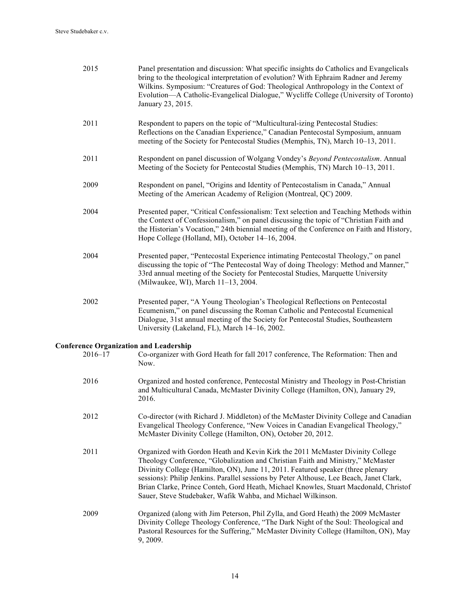| 2015                                                         | Panel presentation and discussion: What specific insights do Catholics and Evangelicals<br>bring to the theological interpretation of evolution? With Ephraim Radner and Jeremy<br>Wilkins. Symposium: "Creatures of God: Theological Anthropology in the Context of<br>Evolution-A Catholic-Evangelical Dialogue," Wycliffe College (University of Toronto)<br>January 23, 2015.                                                                                                                      |
|--------------------------------------------------------------|--------------------------------------------------------------------------------------------------------------------------------------------------------------------------------------------------------------------------------------------------------------------------------------------------------------------------------------------------------------------------------------------------------------------------------------------------------------------------------------------------------|
| 2011                                                         | Respondent to papers on the topic of "Multicultural-izing Pentecostal Studies:<br>Reflections on the Canadian Experience," Canadian Pentecostal Symposium, annuam<br>meeting of the Society for Pentecostal Studies (Memphis, TN), March 10-13, 2011.                                                                                                                                                                                                                                                  |
| 2011                                                         | Respondent on panel discussion of Wolgang Vondey's Beyond Pentecostalism. Annual<br>Meeting of the Society for Pentecostal Studies (Memphis, TN) March 10–13, 2011.                                                                                                                                                                                                                                                                                                                                    |
| 2009                                                         | Respondent on panel, "Origins and Identity of Pentecostalism in Canada," Annual<br>Meeting of the American Academy of Religion (Montreal, QC) 2009.                                                                                                                                                                                                                                                                                                                                                    |
| 2004                                                         | Presented paper, "Critical Confessionalism: Text selection and Teaching Methods within<br>the Context of Confessionalism," on panel discussing the topic of "Christian Faith and<br>the Historian's Vocation," 24th biennial meeting of the Conference on Faith and History,<br>Hope College (Holland, MI), October 14-16, 2004.                                                                                                                                                                       |
| 2004                                                         | Presented paper, "Pentecostal Experience intimating Pentecostal Theology," on panel<br>discussing the topic of "The Pentecostal Way of doing Theology: Method and Manner,"<br>33rd annual meeting of the Society for Pentecostal Studies, Marquette University<br>(Milwaukee, WI), March 11-13, 2004.                                                                                                                                                                                                  |
| 2002                                                         | Presented paper, "A Young Theologian's Theological Reflections on Pentecostal<br>Ecumenism," on panel discussing the Roman Catholic and Pentecostal Ecumenical<br>Dialogue, 31st annual meeting of the Society for Pentecostal Studies, Southeastern<br>University (Lakeland, FL), March 14-16, 2002.                                                                                                                                                                                                  |
| <b>Conference Organization and Leadership</b><br>$2016 - 17$ | Co-organizer with Gord Heath for fall 2017 conference, The Reformation: Then and<br>Now.                                                                                                                                                                                                                                                                                                                                                                                                               |
| 2016                                                         | Organized and hosted conference, Pentecostal Ministry and Theology in Post-Christian<br>and Multicultural Canada, McMaster Divinity College (Hamilton, ON), January 29,<br>2016.                                                                                                                                                                                                                                                                                                                       |
| 2012                                                         | Co-director (with Richard J. Middleton) of the McMaster Divinity College and Canadian<br>Evangelical Theology Conference, "New Voices in Canadian Evangelical Theology,"<br>McMaster Divinity College (Hamilton, ON), October 20, 2012.                                                                                                                                                                                                                                                                |
| 2011                                                         | Organized with Gordon Heath and Kevin Kirk the 2011 McMaster Divinity College<br>Theology Conference, "Globalization and Christian Faith and Ministry," McMaster<br>Divinity College (Hamilton, ON), June 11, 2011. Featured speaker (three plenary<br>sessions): Philip Jenkins. Parallel sessions by Peter Althouse, Lee Beach, Janet Clark,<br>Brian Clarke, Prince Conteh, Gord Heath, Michael Knowles, Stuart Macdonald, Christof<br>Sauer, Steve Studebaker, Wafik Wahba, and Michael Wilkinson. |
| 2009                                                         | Organized (along with Jim Peterson, Phil Zylla, and Gord Heath) the 2009 McMaster<br>Divinity College Theology Conference, "The Dark Night of the Soul: Theological and<br>Pastoral Resources for the Suffering," McMaster Divinity College (Hamilton, ON), May<br>9, 2009.                                                                                                                                                                                                                            |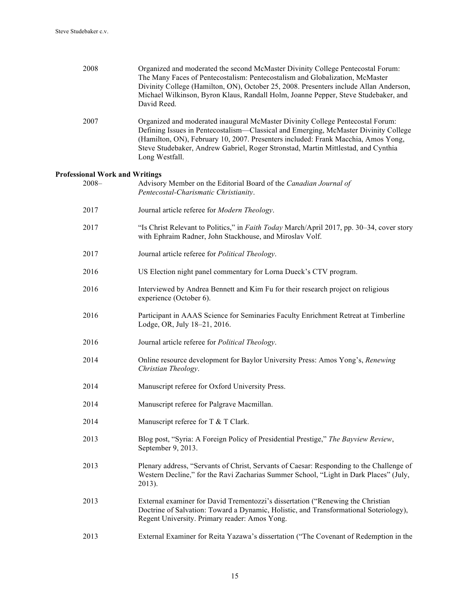| 2008                                  | Organized and moderated the second McMaster Divinity College Pentecostal Forum:<br>The Many Faces of Pentecostalism: Pentecostalism and Globalization, McMaster<br>Divinity College (Hamilton, ON), October 25, 2008. Presenters include Allan Anderson,<br>Michael Wilkinson, Byron Klaus, Randall Holm, Joanne Pepper, Steve Studebaker, and<br>David Reed.     |
|---------------------------------------|-------------------------------------------------------------------------------------------------------------------------------------------------------------------------------------------------------------------------------------------------------------------------------------------------------------------------------------------------------------------|
| 2007                                  | Organized and moderated inaugural McMaster Divinity College Pentecostal Forum:<br>Defining Issues in Pentecostalism—Classical and Emerging, McMaster Divinity College<br>(Hamilton, ON), February 10, 2007. Presenters included: Frank Macchia, Amos Yong,<br>Steve Studebaker, Andrew Gabriel, Roger Stronstad, Martin Mittlestad, and Cynthia<br>Long Westfall. |
| <b>Professional Work and Writings</b> |                                                                                                                                                                                                                                                                                                                                                                   |
| $2008 -$                              | Advisory Member on the Editorial Board of the Canadian Journal of<br>Pentecostal-Charismatic Christianity.                                                                                                                                                                                                                                                        |
| 2017                                  | Journal article referee for Modern Theology.                                                                                                                                                                                                                                                                                                                      |
| 2017                                  | "Is Christ Relevant to Politics," in Faith Today March/April 2017, pp. 30-34, cover story<br>with Ephraim Radner, John Stackhouse, and Miroslav Volf.                                                                                                                                                                                                             |
| 2017                                  | Journal article referee for Political Theology.                                                                                                                                                                                                                                                                                                                   |
| 2016                                  | US Election night panel commentary for Lorna Dueck's CTV program.                                                                                                                                                                                                                                                                                                 |
| 2016                                  | Interviewed by Andrea Bennett and Kim Fu for their research project on religious<br>experience (October 6).                                                                                                                                                                                                                                                       |
| 2016                                  | Participant in AAAS Science for Seminaries Faculty Enrichment Retreat at Timberline<br>Lodge, OR, July 18-21, 2016.                                                                                                                                                                                                                                               |
| 2016                                  | Journal article referee for Political Theology.                                                                                                                                                                                                                                                                                                                   |
| 2014                                  | Online resource development for Baylor University Press: Amos Yong's, Renewing<br>Christian Theology.                                                                                                                                                                                                                                                             |
| 2014                                  | Manuscript referee for Oxford University Press.                                                                                                                                                                                                                                                                                                                   |
| 2014                                  | Manuscript referee for Palgrave Macmillan.                                                                                                                                                                                                                                                                                                                        |
| 2014                                  | Manuscript referee for T & T Clark.                                                                                                                                                                                                                                                                                                                               |
| 2013                                  | Blog post, "Syria: A Foreign Policy of Presidential Prestige," The Bayview Review,<br>September 9, 2013.                                                                                                                                                                                                                                                          |
| 2013                                  | Plenary address, "Servants of Christ, Servants of Caesar: Responding to the Challenge of<br>Western Decline," for the Ravi Zacharias Summer School, "Light in Dark Places" (July,<br>2013).                                                                                                                                                                       |
| 2013                                  | External examiner for David Trementozzi's dissertation ("Renewing the Christian<br>Doctrine of Salvation: Toward a Dynamic, Holistic, and Transformational Soteriology),<br>Regent University. Primary reader: Amos Yong.                                                                                                                                         |

2013 External Examiner for Reita Yazawa's dissertation ("The Covenant of Redemption in the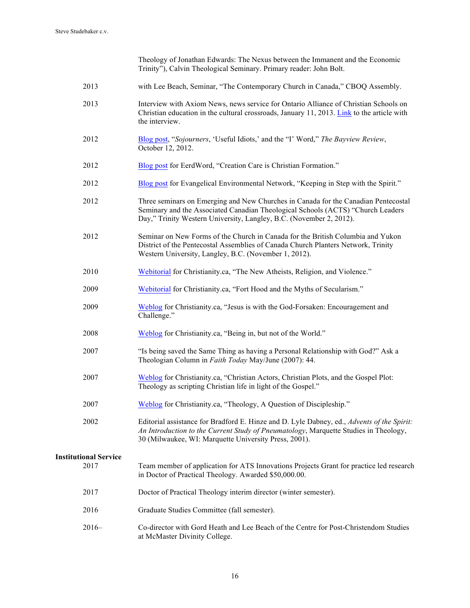Theology of Jonathan Edwards: The Nexus between the Immanent and the Economic Trinity"), Calvin Theological Seminary. Primary reader: John Bolt.

- 2013 with Lee Beach, Seminar, "The Contemporary Church in Canada," CBOQ Assembly.
- 2013 Interview with Axiom News, news service for Ontario Alliance of Christian Schools on Christian education in the cultural crossroads, January 11, 2013. Link to the article with the interview.
- 2012 Blog post, "*Sojourners*, 'Useful Idiots,' and the "I' Word," *The Bayview Review*, October 12, 2012.
- 2012 Blog post for EerdWord, "Creation Care is Christian Formation."
- 2012 Blog post for Evangelical Environmental Network, "Keeping in Step with the Spirit."
- 2012 Three seminars on Emerging and New Churches in Canada for the Canadian Pentecostal Seminary and the Associated Canadian Theological Schools (ACTS) "Church Leaders Day," Trinity Western University, Langley, B.C. (November 2, 2012).
- 2012 Seminar on New Forms of the Church in Canada for the British Columbia and Yukon District of the Pentecostal Assemblies of Canada Church Planters Network, Trinity Western University, Langley, B.C. (November 1, 2012).
- 2010 Webitorial for Christianity.ca, "The New Atheists, Religion, and Violence."
- 2009 Webitorial for Christianity.ca, "Fort Hood and the Myths of Secularism."
- 2009 Weblog for Christianity.ca, "Jesus is with the God-Forsaken: Encouragement and Challenge."
- 2008 Weblog for Christianity.ca, "Being in, but not of the World."
- 2007 "Is being saved the Same Thing as having a Personal Relationship with God?" Ask a Theologian Column in *Faith Today* May/June (2007): 44.
- 2007 Weblog for Christianity.ca, "Christian Actors, Christian Plots, and the Gospel Plot: Theology as scripting Christian life in light of the Gospel."
- 2007 Weblog for Christianity.ca, "Theology, A Question of Discipleship."
- 2002 Editorial assistance for Bradford E. Hinze and D. Lyle Dabney, ed., *Advents of the Spirit: An Introduction to the Current Study of Pneumatology*, Marquette Studies in Theology, 30 (Milwaukee, WI: Marquette University Press, 2001).

# **Institutional Service**

| 2017 | Team member of application for ATS Innovations Projects Grant for practice led research<br>in Doctor of Practical Theology. Awarded \$50,000.00. |
|------|--------------------------------------------------------------------------------------------------------------------------------------------------|
| 2017 | Doctor of Practical Theology interim director (winter semester).                                                                                 |

- 2016 Graduate Studies Committee (fall semester).
- 2016– Co-director with Gord Heath and Lee Beach of the Centre for Post-Christendom Studies at McMaster Divinity College.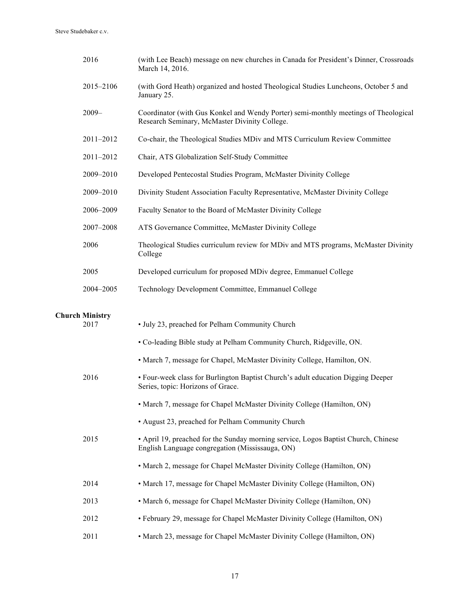| 2016                   | (with Lee Beach) message on new churches in Canada for President's Dinner, Crossroads<br>March 14, 2016.                              |
|------------------------|---------------------------------------------------------------------------------------------------------------------------------------|
| 2015-2106              | (with Gord Heath) organized and hosted Theological Studies Luncheons, October 5 and<br>January 25.                                    |
| $2009 -$               | Coordinator (with Gus Konkel and Wendy Porter) semi-monthly meetings of Theological<br>Research Seminary, McMaster Divinity College.  |
| 2011-2012              | Co-chair, the Theological Studies MDiv and MTS Curriculum Review Committee                                                            |
| 2011-2012              | Chair, ATS Globalization Self-Study Committee                                                                                         |
| 2009-2010              | Developed Pentecostal Studies Program, McMaster Divinity College                                                                      |
| 2009-2010              | Divinity Student Association Faculty Representative, McMaster Divinity College                                                        |
| 2006-2009              | Faculty Senator to the Board of McMaster Divinity College                                                                             |
| 2007-2008              | ATS Governance Committee, McMaster Divinity College                                                                                   |
| 2006                   | Theological Studies curriculum review for MDiv and MTS programs, McMaster Divinity<br>College                                         |
| 2005                   | Developed curriculum for proposed MDiv degree, Emmanuel College                                                                       |
| 2004-2005              | Technology Development Committee, Emmanuel College                                                                                    |
| <b>Church Ministry</b> |                                                                                                                                       |
| 2017                   | • July 23, preached for Pelham Community Church                                                                                       |
|                        | • Co-leading Bible study at Pelham Community Church, Ridgeville, ON.                                                                  |
|                        | • March 7, message for Chapel, McMaster Divinity College, Hamilton, ON.                                                               |
| 2016                   | • Four-week class for Burlington Baptist Church's adult education Digging Deeper<br>Series, topic: Horizons of Grace.                 |
|                        | • March 7, message for Chapel McMaster Divinity College (Hamilton, ON)                                                                |
|                        | • August 23, preached for Pelham Community Church                                                                                     |
| 2015                   | • April 19, preached for the Sunday morning service, Logos Baptist Church, Chinese<br>English Language congregation (Mississauga, ON) |
|                        | • March 2, message for Chapel McMaster Divinity College (Hamilton, ON)                                                                |
| 2014                   | • March 17, message for Chapel McMaster Divinity College (Hamilton, ON)                                                               |
| 2013                   | • March 6, message for Chapel McMaster Divinity College (Hamilton, ON)                                                                |
| 2012                   | • February 29, message for Chapel McMaster Divinity College (Hamilton, ON)                                                            |
| 2011                   | • March 23, message for Chapel McMaster Divinity College (Hamilton, ON)                                                               |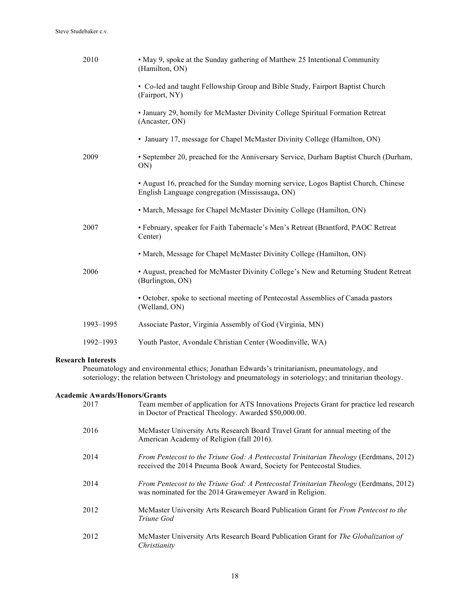#### Steve Studebaker c.v.

| 2010      | • May 9, spoke at the Sunday gathering of Matthew 25 Intentional Community<br>(Hamilton, ON)                                           |
|-----------|----------------------------------------------------------------------------------------------------------------------------------------|
|           | • Co-led and taught Fellowship Group and Bible Study, Fairport Baptist Church<br>(Fairport, NY)                                        |
|           | • January 29, homily for McMaster Divinity College Spiritual Formation Retreat<br>(Ancaster, ON)                                       |
|           | • January 17, message for Chapel McMaster Divinity College (Hamilton, ON)                                                              |
| 2009      | • September 20, preached for the Anniversary Service, Durham Baptist Church (Durham,<br>ON)                                            |
|           | • August 16, preached for the Sunday morning service, Logos Baptist Church, Chinese<br>English Language congregation (Mississauga, ON) |
|           | • March, Message for Chapel McMaster Divinity College (Hamilton, ON)                                                                   |
| 2007      | • February, speaker for Faith Tabernacle's Men's Retreat (Brantford, PAOC Retreat<br>Center)                                           |
|           | • March, Message for Chapel McMaster Divinity College (Hamilton, ON)                                                                   |
| 2006      | • August, preached for McMaster Divinity College's New and Returning Student Retreat<br>(Burlington, ON)                               |
|           | • October, spoke to sectional meeting of Pentecostal Assemblies of Canada pastors<br>(Welland, ON)                                     |
| 1993-1995 | Associate Pastor, Virginia Assembly of God (Virginia, MN)                                                                              |
| 1992-1993 | Youth Pastor, Avondale Christian Center (Woodinville, WA)                                                                              |

## **Research Interests**

Pneumatology and environmental ethics; Jonathan Edwards's trinitarianism, pneumatology, and soteriology; the relation between Christology and pneumatology in soteriology; and trinitarian theology.

## **Academic Awards/Honors/Grants**

| 2017 | Team member of application for ATS Innovations Projects Grant for practice led research<br>in Doctor of Practical Theology. Awarded \$50,000.00.                      |
|------|-----------------------------------------------------------------------------------------------------------------------------------------------------------------------|
| 2016 | McMaster University Arts Research Board Travel Grant for annual meeting of the<br>American Academy of Religion (fall 2016).                                           |
| 2014 | <i>From Pentecost to the Triune God: A Pentecostal Trinitarian Theology (Eerdmans, 2012)</i><br>received the 2014 Pneuma Book Award, Society for Pentecostal Studies. |
| 2014 | <i>From Pentecost to the Triune God: A Pentecostal Trinitarian Theology (Eerdmans, 2012)</i><br>was nominated for the 2014 Grawemeyer Award in Religion.              |
| 2012 | McMaster University Arts Research Board Publication Grant for From Pentecost to the<br>Triune God                                                                     |
| 2012 | McMaster University Arts Research Board Publication Grant for The Globalization of<br>Christianity                                                                    |